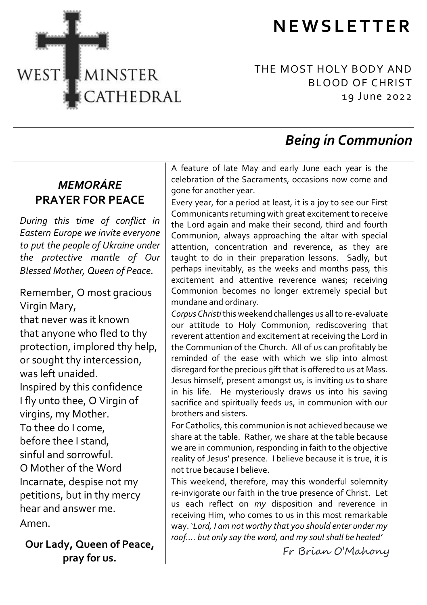



THE MOST HOLY BODY AND BLOOD OF CHRIST 19 June 2022

# *Being in Communion*

# *MEMORÁRE* **PRAYER FOR PEACE**

*During this time of conflict in Eastern Europe we invite everyone to put the people of Ukraine under the protective mantle of Our Blessed Mother, Queen of Peace.*

Remember, O most gracious Virgin Mary,

that never was it known that anyone who fled to thy protection, implored thy help, or sought thy intercession, was left unaided. Inspired by this confidence I fly unto thee, O Virgin of virgins, my Mother. To thee do I come, before thee I stand, sinful and sorrowful. O Mother of the Word Incarnate, despise not my petitions, but in thy mercy hear and answer me. Amen.

**Our Lady, Queen of Peace, pray for us.**

A feature of late May and early June each year is the celebration of the Sacraments, occasions now come and gone for another year.

Every year, for a period at least, it is a joy to see our First Communicants returning with great excitement to receive the Lord again and make their second, third and fourth Communion, always approaching the altar with special attention, concentration and reverence, as they are taught to do in their preparation lessons. Sadly, but perhaps inevitably, as the weeks and months pass, this excitement and attentive reverence wanes; receiving Communion becomes no longer extremely special but mundane and ordinary.

*Corpus Christi*this weekend challenges us all to re-evaluate our attitude to Holy Communion, rediscovering that reverent attention and excitement at receiving the Lord in the Communion of the Church. All of us can profitably be reminded of the ease with which we slip into almost disregard for the precious gift that is offered to us at Mass. Jesus himself, present amongst us, is inviting us to share in his life. He mysteriously draws us into his saving sacrifice and spiritually feeds us, in communion with our brothers and sisters.

For Catholics, this communion is not achieved because we share at the table. Rather, we share at the table because we are in communion, responding in faith to the objective reality of Jesus' presence. I believe because it is true, it is not true because I believe.

This weekend, therefore, may this wonderful solemnity re-invigorate our faith in the true presence of Christ. Let us each reflect on *my* disposition and reverence in receiving Him, who comes to us in this most remarkable way. '*Lord, I am not worthy that you should enter under my roof…. but only say the word, and my soul shall be healed'*

Fr Brian O'Mahony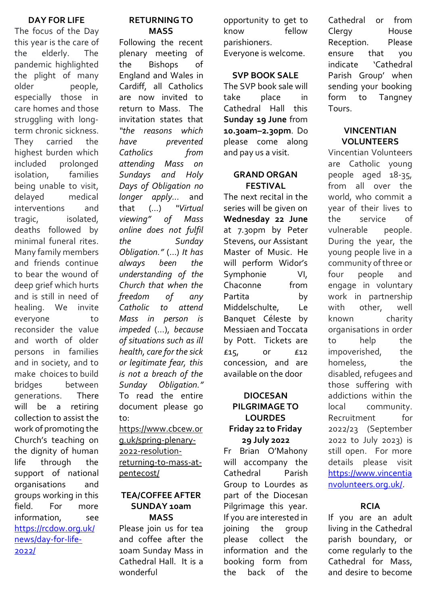### **DAY FOR LIFE**

The focus of the Day this year is the care of the elderly. The pandemic highlighted the plight of many older people, especially those in care homes and those struggling with longterm chronic sickness. They carried the highest burden which included prolonged isolation, families being unable to visit, delayed medical interventions and tragic, isolated, deaths followed by minimal funeral rites. Many family members and friends continue to bear the wound of deep grief which hurts and is still in need of healing. We invite everyone to reconsider the value and worth of older persons in families and in society, and to make choices to build bridges between generations. There will be a retiring collection to assist the work of promoting the Church's teaching on the dignity of human life through the support of national organisations and groups working in this field. For more information, see [https://rcdow.org.uk/](https://rcdow.org.uk/news/day-for-life-2022/) [news/day-for-life-](https://rcdow.org.uk/news/day-for-life-2022/)[2022/](https://rcdow.org.uk/news/day-for-life-2022/)

# **RETURNING TO MASS**

Following the recent plenary meeting of the Bishops of England and Wales in Cardiff, all Catholics are now invited to return to Mass. The invitation states that *"the reasons which have prevented Catholics from attending Mass on Sundays and Holy Days of Obligation no longer apply...* and<br>
that (...) "Virtual that (...) <sup>"</sup><br>viewing" of *viewing" of Mass online does not fulfil the Sunday Obligation."* (…) *It has always been the understanding of the Church that when the freedom of any Catholic to attend Mass in person is impeded* (…), *because of situations such as ill health, care for the sick or legitimate fear, this is not a breach of the Sunday Obligation."* To read the entire document please go  $t \circ$ 

[https://www.cbcew.or](https://www.cbcew.org.uk/spring-plenary-2022-resolution-returning-to-mass-at-pentecost/) [g.uk/spring-plenary-](https://www.cbcew.org.uk/spring-plenary-2022-resolution-returning-to-mass-at-pentecost/)[2022-resolution](https://www.cbcew.org.uk/spring-plenary-2022-resolution-returning-to-mass-at-pentecost/)[returning-to-mass-at](https://www.cbcew.org.uk/spring-plenary-2022-resolution-returning-to-mass-at-pentecost/)[pentecost/](https://www.cbcew.org.uk/spring-plenary-2022-resolution-returning-to-mass-at-pentecost/)

#### **TEA/COFFEE AFTER SUNDAY 10am MASS**

Please join us for tea and coffee after the 10am Sunday Mass in Cathedral Hall. It is a wonderful

opportunity to get to know fellow parishioners. Everyone is welcome.

### **SVP BOOK SALE**

The SVP book sale will take place in Cathedral Hall this **Sunday 19 June** from **10.30am–2.30pm**. Do please come along and pay us a visit.

### **GRAND ORGAN FESTIVAL**

The next recital in the series will be given on **Wednesday 22 June** at 7.30pm by Peter Stevens, our Assistant Master of Music. He will perform Widor's Symphonie VI, Chaconne from Partita by Middelschulte, Le Banquet Céleste by Messiaen and Toccata by Pott. Tickets are £15, or £12 concession, and are available on the door

# **DIOCESAN PILGRIMAGE TO LOURDES Friday 22 to Friday 29 July 2022**

Fr Brian O'Mahony will accompany the Cathedral Parish Group to Lourdes as part of the Diocesan Pilgrimage this year. If you are interested in joining the group please collect the information and the booking form from the back of the

Cathedral or from Clergy House Reception. Please ensure that you indicate 'Cathedral Parish Group' when sending your booking form to Tangney Tours.

# **VINCENTIAN VOLUNTEERS**

Vincentian Volunteers are Catholic young people aged 18-35, from all over the world, who commit a year of their lives to the service of vulnerable people. During the year, the young people live in a community of three or four people and engage in voluntary work in partnership with other, well known charity organisations in order to help the impoverished, the homeless, the disabled, refugees and those suffering with addictions within the local community. Recruitment for 2022/23 (September 2022 to July 2023) is still open. For more details please visit [https://www.vincentia](https://www.vincentianvolunteers.org.uk/) [nvolunteers.org.uk/.](https://www.vincentianvolunteers.org.uk/)

# **RCIA**

If you are an adult living in the Cathedral parish boundary, or come regularly to the Cathedral for Mass, and desire to become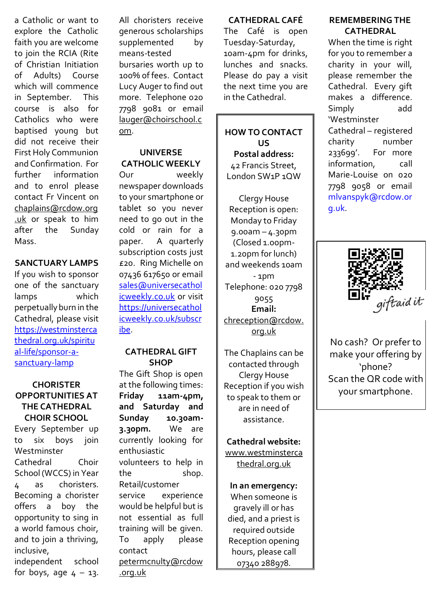a Catholic or want to explore the Catholic faith you are welcome to join the RCIA (Rite of Christian Initiation of Adults) Course which will commence in September. This course is also for Catholics who were baptised young but did not receive their First Holy Communion and Confirmation. For further information and to enrol please contact Fr Vincent on [chaplains@rcdow.org](mailto:chaplains@rcdow.org.uk) [.uk](mailto:chaplains@rcdow.org.uk) or speak to him after the Sunday Mass.

# **SANCTUARY LAMPS**

If you wish to sponsor one of the sanctuary lamps which perpetually burn in the Cathedral, please visit [https://westminsterca](https://westminstercathedral.org.uk/spiritual-life/sponsor-a-sanctuary-lamp) [thedral.org.uk/spiritu](https://westminstercathedral.org.uk/spiritual-life/sponsor-a-sanctuary-lamp) [al-life/sponsor-a](https://westminstercathedral.org.uk/spiritual-life/sponsor-a-sanctuary-lamp)[sanctuary-lamp](https://westminstercathedral.org.uk/spiritual-life/sponsor-a-sanctuary-lamp)

# **CHORISTER OPPORTUNITIES AT THE CATHEDRAL CHOIR SCHOOL**

Every September up to six boys join Westminster Cathedral Choir School (WCCS) in Year 4 as choristers. Becoming a chorister offers a boy the opportunity to sing in a world famous choir, and to join a thriving, inclusive, independent school for boys, age  $4 - 13$ .

All choristers receive generous scholarships supplemented by means-tested bursaries worth up to 100% of fees. Contact Lucy Auger to find out more. Telephone 020 7798 9081 or email [lauger@choirschool.c](mailto:lauger@choirschool.com) [om.](mailto:lauger@choirschool.com)

#### **UNIVERSE CATHOLIC WEEKLY**

Our weekly newspaper downloads to your smartphone or tablet so you never need to go out in the cold or rain for a paper. A quarterly subscription costs just £20. Ring Michelle on 07436 617650 or email [sales@universecathol](mailto:sales@universecatholicweekly.co.uk) [icweekly.co.uk](mailto:sales@universecatholicweekly.co.uk) or visit [https://universecathol](https://universecatholicweekly.co.uk/subscribe) [icweekly.co.uk/subscr](https://universecatholicweekly.co.uk/subscribe) [ibe.](https://universecatholicweekly.co.uk/subscribe)

#### **CATHEDRAL GIFT SHOP**

The Gift Shop is open at the following times: **Friday 11am-4pm, and Saturday and Sunday 10.30am-3.30pm.** We are currently looking for enthusiastic volunteers to help in the shop. Retail/customer service experience would be helpful but is not essential as full training will be given. To apply please contact [petermcnulty@rcdow](mailto:petermcnulty@rcdow.org.uk) [.org.uk](mailto:petermcnulty@rcdow.org.uk)

### **CATHEDRAL CAFÉ**

The Café is open Tuesday-Saturday, 10am-4pm for drinks, lunches and snacks. Please do pay a visit the next time you are in the Cathedral.

**HOW TO CONTACT US Postal address:** 42 Francis Street, London SW1P 1QW

Clergy House Reception is open: Monday to Friday 9.00am – 4.30pm (Closed 1.00pm-1.20pm for lunch) and weekends 10am - 1pm Telephone: 020 7798 9055 **Email:** [chreception@rcdow.](mailto:chreception@rcdow.org.uk) [org.uk](mailto:chreception@rcdow.org.uk)

The Chaplains can be contacted through Clergy House Reception if you wish to speak to them or are in need of assistance.

**Cathedral website:**

www.westminsterca thedral.org.uk

**In an emergency:** When someone is gravely ill or has died, and a priest is required outside Reception opening hours, please call 07340 288978.

## **REMEMBERING THE CATHEDRAL**

When the time is right for you to remember a charity in your will, please remember the Cathedral. Every gift makes a difference. Simply add 'Westminster Cathedral – registered charity 233699'. For more information, call Marie-Louise on 020 7798 9058 or email [mlvanspyk@rcdow.or](mailto:mlvanspyk@rcdow.org.uk) [g.uk.](mailto:mlvanspyk@rcdow.org.uk)



No cash? Or prefer to make your offering by 'phone? Scan the QR code with your smartphone.